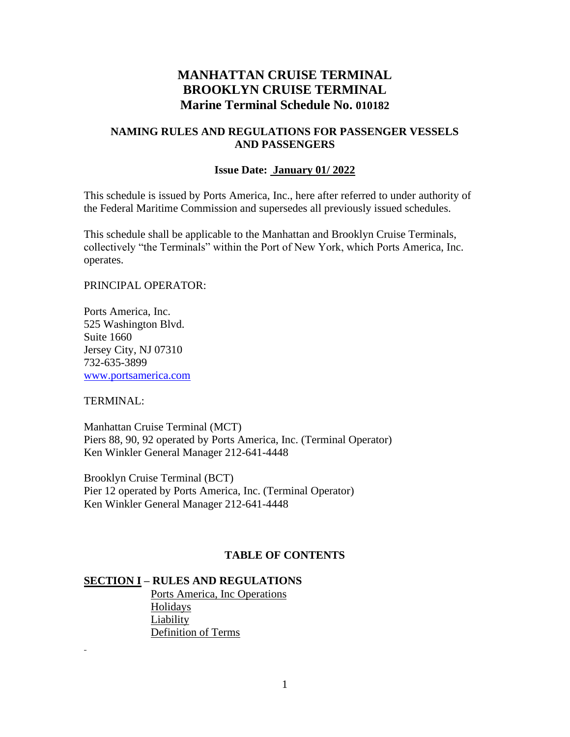# **MANHATTAN CRUISE TERMINAL BROOKLYN CRUISE TERMINAL Marine Terminal Schedule No. 010182**

#### **NAMING RULES AND REGULATIONS FOR PASSENGER VESSELS AND PASSENGERS**

#### **Issue Date: January 01/ 2022**

This schedule is issued by Ports America, Inc., here after referred to under authority of the Federal Maritime Commission and supersedes all previously issued schedules.

This schedule shall be applicable to the Manhattan and Brooklyn Cruise Terminals, collectively "the Terminals" within the Port of New York, which Ports America, Inc. operates.

#### PRINCIPAL OPERATOR:

Ports America, Inc. 525 Washington Blvd. Suite 1660 Jersey City, NJ 07310 732-635-3899 [www.portsamerica.com](http://www.portsamerica.com/)

#### TERMINAL:

Manhattan Cruise Terminal (MCT) Piers 88, 90, 92 operated by Ports America, Inc. (Terminal Operator) Ken Winkler General Manager 212-641-4448

Brooklyn Cruise Terminal (BCT) Pier 12 operated by Ports America, Inc. (Terminal Operator) Ken Winkler General Manager 212-641-4448

## **TABLE OF CONTENTS**

#### **SECTION I – RULES AND REGULATIONS**

Ports America, Inc Operations Holidays Liability Definition of Terms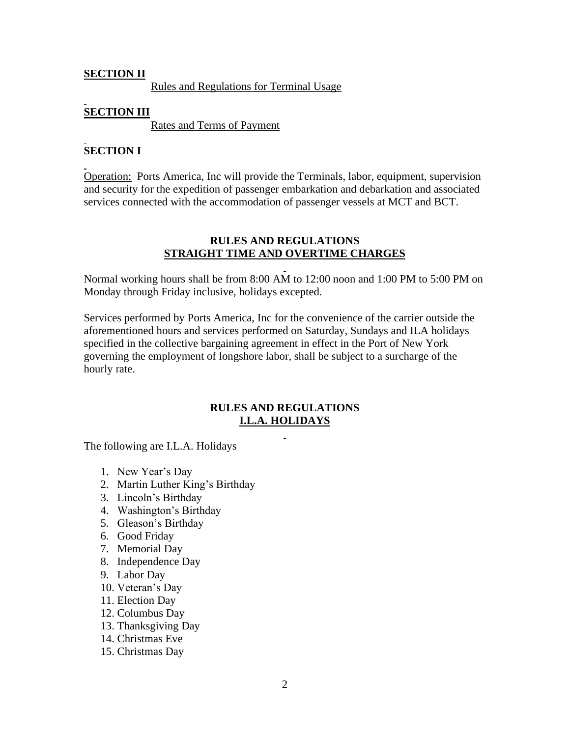## **SECTION II**

Rules and Regulations for Terminal Usage

# **SECTION III**

Rates and Terms of Payment

# **SECTION I**

Operation: Ports America, Inc will provide the Terminals, labor, equipment, supervision and security for the expedition of passenger embarkation and debarkation and associated services connected with the accommodation of passenger vessels at MCT and BCT.

## **RULES AND REGULATIONS STRAIGHT TIME AND OVERTIME CHARGES**

Normal working hours shall be from 8:00 AM to 12:00 noon and 1:00 PM to 5:00 PM on Monday through Friday inclusive, holidays excepted.

Services performed by Ports America, Inc for the convenience of the carrier outside the aforementioned hours and services performed on Saturday, Sundays and ILA holidays specified in the collective bargaining agreement in effect in the Port of New York governing the employment of longshore labor, shall be subject to a surcharge of the hourly rate.

### **RULES AND REGULATIONS I.L.A. HOLIDAYS**

The following are I.L.A. Holidays

- 1. New Year's Day
- 2. Martin Luther King's Birthday
- 3. Lincoln's Birthday
- 4. Washington's Birthday
- 5. Gleason's Birthday
- 6. Good Friday
- 7. Memorial Day
- 8. Independence Day
- 9. Labor Day
- 10. Veteran's Day
- 11. Election Day
- 12. Columbus Day
- 13. Thanksgiving Day
- 14. Christmas Eve
- 15. Christmas Day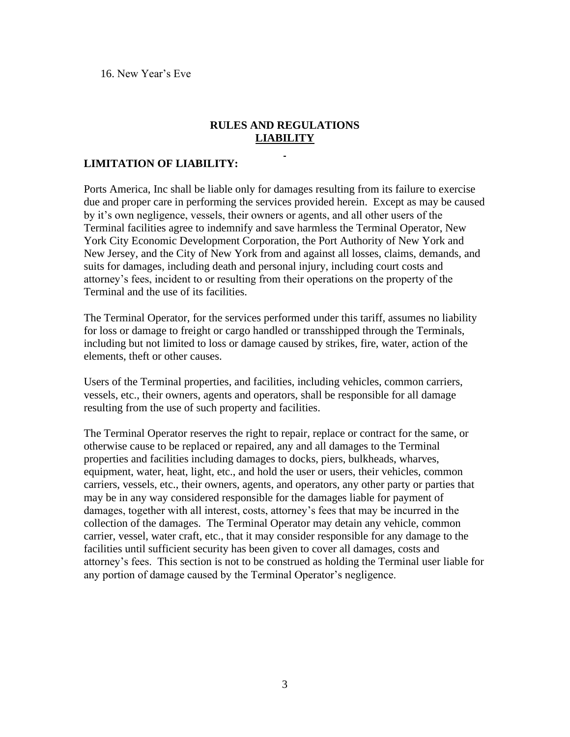16. New Year's Eve

### **RULES AND REGULATIONS LIABILITY**

### **LIMITATION OF LIABILITY:**

Ports America, Inc shall be liable only for damages resulting from its failure to exercise due and proper care in performing the services provided herein. Except as may be caused by it's own negligence, vessels, their owners or agents, and all other users of the Terminal facilities agree to indemnify and save harmless the Terminal Operator, New York City Economic Development Corporation, the Port Authority of New York and New Jersey, and the City of New York from and against all losses, claims, demands, and suits for damages, including death and personal injury, including court costs and attorney's fees, incident to or resulting from their operations on the property of the Terminal and the use of its facilities.

The Terminal Operator, for the services performed under this tariff, assumes no liability for loss or damage to freight or cargo handled or transshipped through the Terminals, including but not limited to loss or damage caused by strikes, fire, water, action of the elements, theft or other causes.

Users of the Terminal properties, and facilities, including vehicles, common carriers, vessels, etc., their owners, agents and operators, shall be responsible for all damage resulting from the use of such property and facilities.

The Terminal Operator reserves the right to repair, replace or contract for the same, or otherwise cause to be replaced or repaired, any and all damages to the Terminal properties and facilities including damages to docks, piers, bulkheads, wharves, equipment, water, heat, light, etc., and hold the user or users, their vehicles, common carriers, vessels, etc., their owners, agents, and operators, any other party or parties that may be in any way considered responsible for the damages liable for payment of damages, together with all interest, costs, attorney's fees that may be incurred in the collection of the damages. The Terminal Operator may detain any vehicle, common carrier, vessel, water craft, etc., that it may consider responsible for any damage to the facilities until sufficient security has been given to cover all damages, costs and attorney's fees. This section is not to be construed as holding the Terminal user liable for any portion of damage caused by the Terminal Operator's negligence.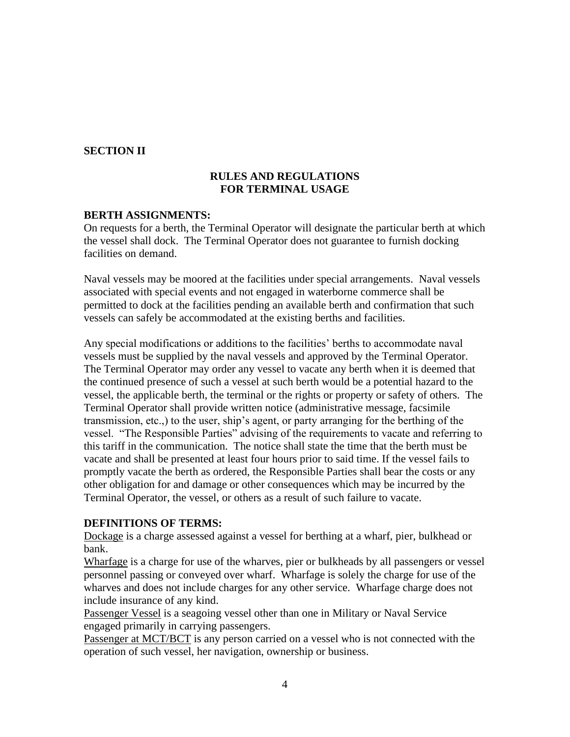## **SECTION II**

## **RULES AND REGULATIONS FOR TERMINAL USAGE**

### **BERTH ASSIGNMENTS:**

On requests for a berth, the Terminal Operator will designate the particular berth at which the vessel shall dock. The Terminal Operator does not guarantee to furnish docking facilities on demand.

Naval vessels may be moored at the facilities under special arrangements. Naval vessels associated with special events and not engaged in waterborne commerce shall be permitted to dock at the facilities pending an available berth and confirmation that such vessels can safely be accommodated at the existing berths and facilities.

Any special modifications or additions to the facilities' berths to accommodate naval vessels must be supplied by the naval vessels and approved by the Terminal Operator. The Terminal Operator may order any vessel to vacate any berth when it is deemed that the continued presence of such a vessel at such berth would be a potential hazard to the vessel, the applicable berth, the terminal or the rights or property or safety of others. The Terminal Operator shall provide written notice (administrative message, facsimile transmission, etc.,) to the user, ship's agent, or party arranging for the berthing of the vessel. "The Responsible Parties" advising of the requirements to vacate and referring to this tariff in the communication. The notice shall state the time that the berth must be vacate and shall be presented at least four hours prior to said time. If the vessel fails to promptly vacate the berth as ordered, the Responsible Parties shall bear the costs or any other obligation for and damage or other consequences which may be incurred by the Terminal Operator, the vessel, or others as a result of such failure to vacate.

#### **DEFINITIONS OF TERMS:**

Dockage is a charge assessed against a vessel for berthing at a wharf, pier, bulkhead or bank.

Wharfage is a charge for use of the wharves, pier or bulkheads by all passengers or vessel personnel passing or conveyed over wharf. Wharfage is solely the charge for use of the wharves and does not include charges for any other service. Wharfage charge does not include insurance of any kind.

Passenger Vessel is a seagoing vessel other than one in Military or Naval Service engaged primarily in carrying passengers.

Passenger at MCT/BCT is any person carried on a vessel who is not connected with the operation of such vessel, her navigation, ownership or business.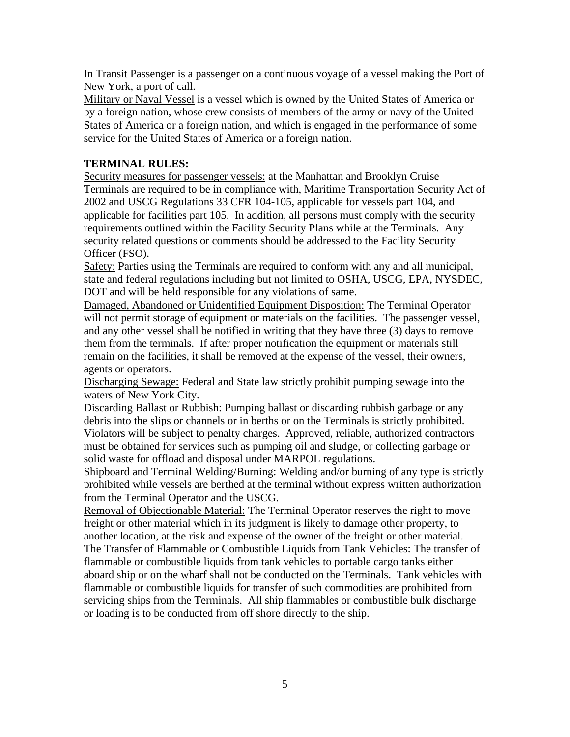In Transit Passenger is a passenger on a continuous voyage of a vessel making the Port of New York, a port of call.

Military or Naval Vessel is a vessel which is owned by the United States of America or by a foreign nation, whose crew consists of members of the army or navy of the United States of America or a foreign nation, and which is engaged in the performance of some service for the United States of America or a foreign nation.

# **TERMINAL RULES:**

Security measures for passenger vessels: at the Manhattan and Brooklyn Cruise Terminals are required to be in compliance with, Maritime Transportation Security Act of 2002 and USCG Regulations 33 CFR 104-105, applicable for vessels part 104, and applicable for facilities part 105. In addition, all persons must comply with the security requirements outlined within the Facility Security Plans while at the Terminals. Any security related questions or comments should be addressed to the Facility Security Officer (FSO).

Safety: Parties using the Terminals are required to conform with any and all municipal, state and federal regulations including but not limited to OSHA, USCG, EPA, NYSDEC, DOT and will be held responsible for any violations of same.

Damaged, Abandoned or Unidentified Equipment Disposition: The Terminal Operator will not permit storage of equipment or materials on the facilities. The passenger vessel, and any other vessel shall be notified in writing that they have three (3) days to remove them from the terminals. If after proper notification the equipment or materials still remain on the facilities, it shall be removed at the expense of the vessel, their owners, agents or operators.

Discharging Sewage: Federal and State law strictly prohibit pumping sewage into the waters of New York City.

Discarding Ballast or Rubbish: Pumping ballast or discarding rubbish garbage or any debris into the slips or channels or in berths or on the Terminals is strictly prohibited. Violators will be subject to penalty charges. Approved, reliable, authorized contractors must be obtained for services such as pumping oil and sludge, or collecting garbage or solid waste for offload and disposal under MARPOL regulations.

Shipboard and Terminal Welding/Burning: Welding and/or burning of any type is strictly prohibited while vessels are berthed at the terminal without express written authorization from the Terminal Operator and the USCG.

Removal of Objectionable Material: The Terminal Operator reserves the right to move freight or other material which in its judgment is likely to damage other property, to another location, at the risk and expense of the owner of the freight or other material. The Transfer of Flammable or Combustible Liquids from Tank Vehicles: The transfer of flammable or combustible liquids from tank vehicles to portable cargo tanks either aboard ship or on the wharf shall not be conducted on the Terminals. Tank vehicles with flammable or combustible liquids for transfer of such commodities are prohibited from servicing ships from the Terminals. All ship flammables or combustible bulk discharge or loading is to be conducted from off shore directly to the ship.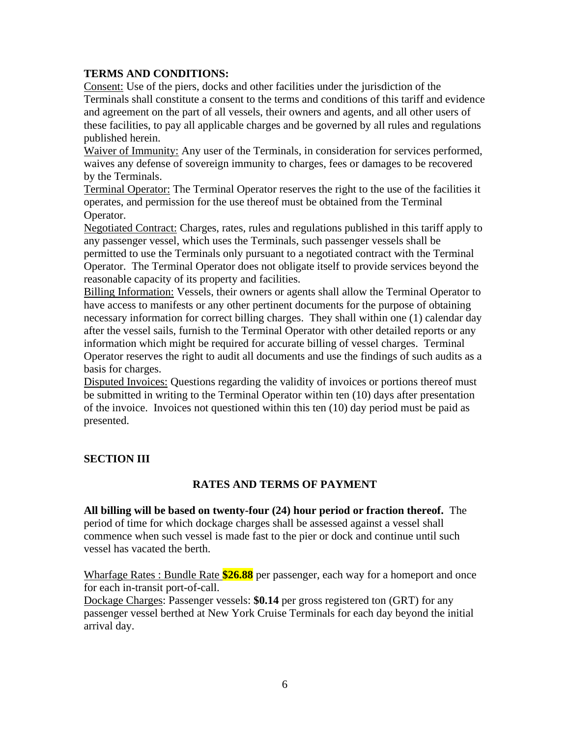### **TERMS AND CONDITIONS:**

Consent: Use of the piers, docks and other facilities under the jurisdiction of the Terminals shall constitute a consent to the terms and conditions of this tariff and evidence and agreement on the part of all vessels, their owners and agents, and all other users of these facilities, to pay all applicable charges and be governed by all rules and regulations published herein.

Waiver of Immunity: Any user of the Terminals, in consideration for services performed, waives any defense of sovereign immunity to charges, fees or damages to be recovered by the Terminals.

Terminal Operator: The Terminal Operator reserves the right to the use of the facilities it operates, and permission for the use thereof must be obtained from the Terminal Operator.

Negotiated Contract: Charges, rates, rules and regulations published in this tariff apply to any passenger vessel, which uses the Terminals, such passenger vessels shall be permitted to use the Terminals only pursuant to a negotiated contract with the Terminal Operator. The Terminal Operator does not obligate itself to provide services beyond the reasonable capacity of its property and facilities.

Billing Information: Vessels, their owners or agents shall allow the Terminal Operator to have access to manifests or any other pertinent documents for the purpose of obtaining necessary information for correct billing charges. They shall within one (1) calendar day after the vessel sails, furnish to the Terminal Operator with other detailed reports or any information which might be required for accurate billing of vessel charges. Terminal Operator reserves the right to audit all documents and use the findings of such audits as a basis for charges.

Disputed Invoices: Questions regarding the validity of invoices or portions thereof must be submitted in writing to the Terminal Operator within ten (10) days after presentation of the invoice. Invoices not questioned within this ten (10) day period must be paid as presented.

## **SECTION III**

## **RATES AND TERMS OF PAYMENT**

**All billing will be based on twenty-four (24) hour period or fraction thereof.** The period of time for which dockage charges shall be assessed against a vessel shall commence when such vessel is made fast to the pier or dock and continue until such vessel has vacated the berth.

Wharfage Rates : Bundle Rate **\$26.88** per passenger, each way for a homeport and once for each in-transit port-of-call.

Dockage Charges: Passenger vessels: **\$0.14** per gross registered ton (GRT) for any passenger vessel berthed at New York Cruise Terminals for each day beyond the initial arrival day.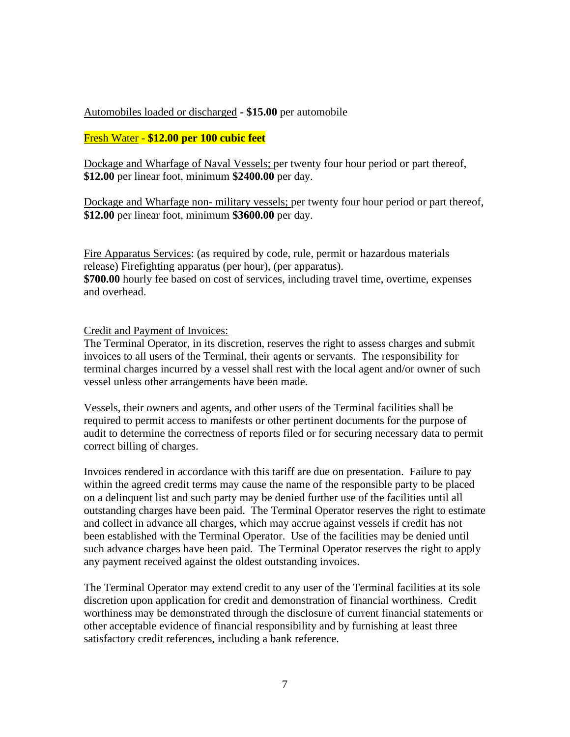### Automobiles loaded or discharged **- \$15.00** per automobile

#### Fresh Water - **\$12.00 per 100 cubic feet**

Dockage and Wharfage of Naval Vessels; per twenty four hour period or part thereof, **\$12.00** per linear foot, minimum **\$2400.00** per day.

Dockage and Wharfage non- military vessels; per twenty four hour period or part thereof, **\$12.00** per linear foot, minimum **\$3600.00** per day.

Fire Apparatus Services: (as required by code, rule, permit or hazardous materials release) Firefighting apparatus (per hour), (per apparatus). **\$700.00** hourly fee based on cost of services, including travel time, overtime, expenses and overhead.

#### Credit and Payment of Invoices:

The Terminal Operator, in its discretion, reserves the right to assess charges and submit invoices to all users of the Terminal, their agents or servants. The responsibility for terminal charges incurred by a vessel shall rest with the local agent and/or owner of such vessel unless other arrangements have been made.

Vessels, their owners and agents, and other users of the Terminal facilities shall be required to permit access to manifests or other pertinent documents for the purpose of audit to determine the correctness of reports filed or for securing necessary data to permit correct billing of charges.

Invoices rendered in accordance with this tariff are due on presentation. Failure to pay within the agreed credit terms may cause the name of the responsible party to be placed on a delinquent list and such party may be denied further use of the facilities until all outstanding charges have been paid. The Terminal Operator reserves the right to estimate and collect in advance all charges, which may accrue against vessels if credit has not been established with the Terminal Operator. Use of the facilities may be denied until such advance charges have been paid. The Terminal Operator reserves the right to apply any payment received against the oldest outstanding invoices.

The Terminal Operator may extend credit to any user of the Terminal facilities at its sole discretion upon application for credit and demonstration of financial worthiness. Credit worthiness may be demonstrated through the disclosure of current financial statements or other acceptable evidence of financial responsibility and by furnishing at least three satisfactory credit references, including a bank reference.